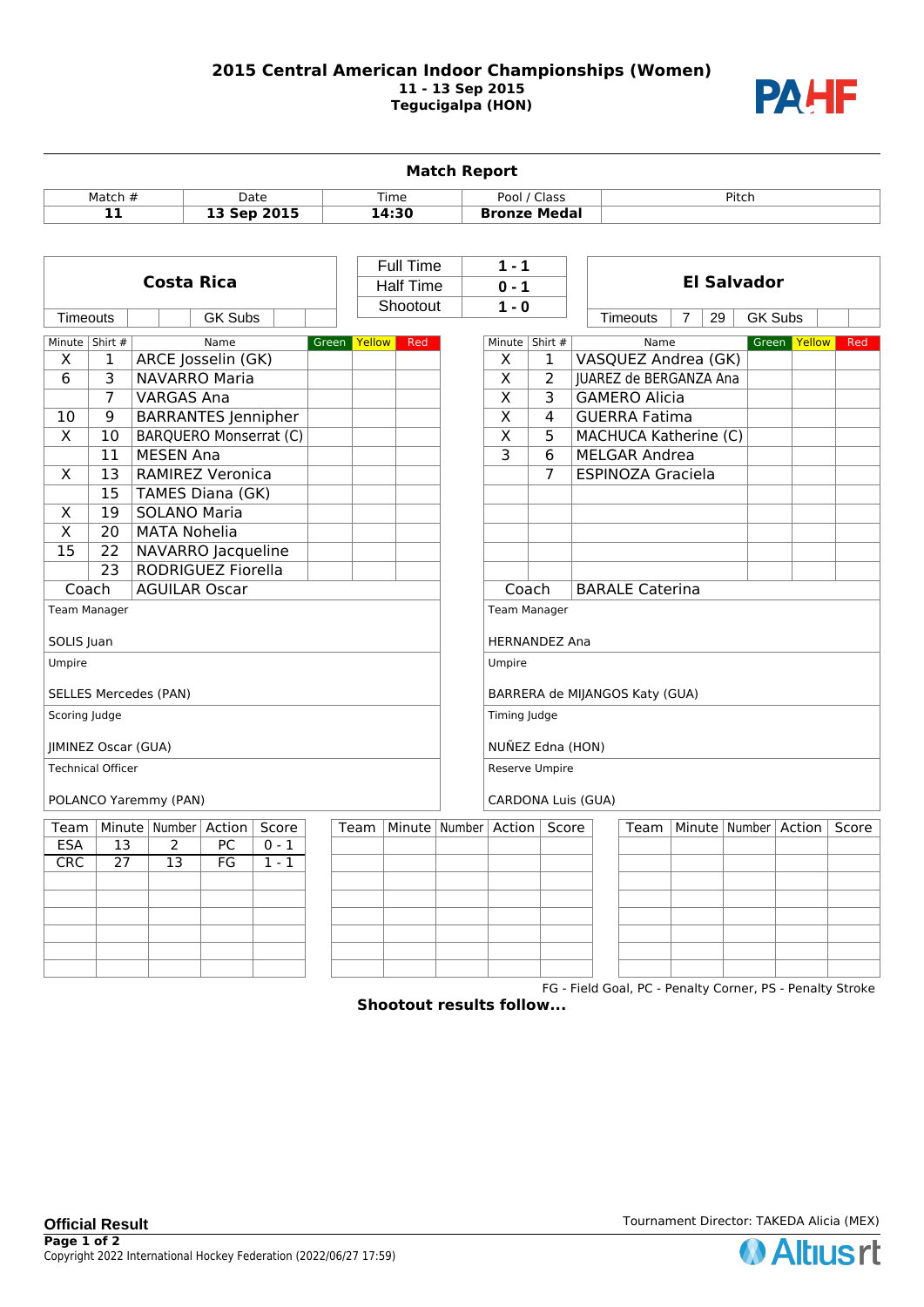## **2015 Central American Indoor Championships (Women) 11 - 13 Sep 2015 Tegucigalpa (HON)**



| Pool / Class<br>Match #<br>Time<br>Pitch<br>Date<br><b>Bronze Medal</b><br>11<br>13 Sep 2015<br>14:30<br><b>Full Time</b><br>$1 - 1$<br><b>Costa Rica</b><br><b>El Salvador</b><br><b>Half Time</b><br>$0 - 1$<br>Shootout<br>$1 - 0$<br><b>GK Subs</b><br><b>Timeouts</b><br><b>Timeouts</b><br><b>GK Subs</b><br>7<br>29<br>Minute   Shirt #<br>Minute   Shirt #<br>Green Yellow<br>Name<br>Green Yellow<br>Red<br>Name<br>VASQUEZ Andrea (GK)<br>X<br>ARCE Josselin (GK)<br>X<br>1<br>1<br>$\overline{3}$<br><b>NAVARRO Maria</b><br>$\overline{\mathsf{x}}$<br>6<br>2<br>JUAREZ de BERGANZA Ana<br>$\overline{\mathsf{x}}$<br>7<br>3<br><b>VARGAS Ana</b><br><b>GAMERO Alicia</b><br>$\overline{\mathsf{x}}$<br>10<br>9<br><b>BARRANTES Jennipher</b><br>4<br><b>GUERRA Fatima</b><br>$\overline{\mathsf{x}}$<br>$\overline{\mathsf{x}}$<br>10<br><b>BARQUERO Monserrat (C)</b><br>5<br>MACHUCA Katherine (C)<br>$\overline{\mathbf{3}}$<br>11<br><b>MESEN Ana</b><br>6<br><b>MELGAR Andrea</b><br>7<br>X<br><b>RAMIREZ Veronica</b><br><b>ESPINOZA Graciela</b><br>13<br>15<br>TAMES Diana (GK)<br>19<br><b>SOLANO Maria</b><br>X<br>$\overline{X}$<br>20<br><b>MATA Nohelia</b><br>15<br>22<br>NAVARRO Jacqueline<br>23<br>RODRIGUEZ Fiorella<br>Coach<br><b>AGUILAR Oscar</b><br>Coach<br><b>BARALE Caterina</b><br>Team Manager<br><b>Team Manager</b><br>SOLIS Juan<br><b>HERNANDEZ Ana</b><br>Umpire<br>Umpire<br><b>SELLES Mercedes (PAN)</b><br>BARRERA de MIJANGOS Katy (GUA)<br>Scoring Judge<br>Timing Judge<br>NUÑEZ Edna (HON)<br><b>JIMINEZ Oscar (GUA)</b><br><b>Technical Officer</b><br>Reserve Umpire<br>POLANCO Yaremmy (PAN)<br>CARDONA Luis (GUA)<br>Minute   Number   Action  <br>Score<br>Minute   Number<br>Action<br>Minute   Number<br>Action<br>Team<br>Team<br>Score<br>Team<br><b>ESA</b><br>2<br>PC<br>$0 - 1$<br>13 | <b>Match Report</b> |  |  |  |  |  |  |  |  |  |  |  |  |  |  |  |  |  |       |  |
|--------------------------------------------------------------------------------------------------------------------------------------------------------------------------------------------------------------------------------------------------------------------------------------------------------------------------------------------------------------------------------------------------------------------------------------------------------------------------------------------------------------------------------------------------------------------------------------------------------------------------------------------------------------------------------------------------------------------------------------------------------------------------------------------------------------------------------------------------------------------------------------------------------------------------------------------------------------------------------------------------------------------------------------------------------------------------------------------------------------------------------------------------------------------------------------------------------------------------------------------------------------------------------------------------------------------------------------------------------------------------------------------------------------------------------------------------------------------------------------------------------------------------------------------------------------------------------------------------------------------------------------------------------------------------------------------------------------------------------------------------------------------------------------------------------------------------------------------------------|---------------------|--|--|--|--|--|--|--|--|--|--|--|--|--|--|--|--|--|-------|--|
|                                                                                                                                                                                                                                                                                                                                                                                                                                                                                                                                                                                                                                                                                                                                                                                                                                                                                                                                                                                                                                                                                                                                                                                                                                                                                                                                                                                                                                                                                                                                                                                                                                                                                                                                                                                                                                                        |                     |  |  |  |  |  |  |  |  |  |  |  |  |  |  |  |  |  |       |  |
|                                                                                                                                                                                                                                                                                                                                                                                                                                                                                                                                                                                                                                                                                                                                                                                                                                                                                                                                                                                                                                                                                                                                                                                                                                                                                                                                                                                                                                                                                                                                                                                                                                                                                                                                                                                                                                                        |                     |  |  |  |  |  |  |  |  |  |  |  |  |  |  |  |  |  |       |  |
|                                                                                                                                                                                                                                                                                                                                                                                                                                                                                                                                                                                                                                                                                                                                                                                                                                                                                                                                                                                                                                                                                                                                                                                                                                                                                                                                                                                                                                                                                                                                                                                                                                                                                                                                                                                                                                                        |                     |  |  |  |  |  |  |  |  |  |  |  |  |  |  |  |  |  |       |  |
|                                                                                                                                                                                                                                                                                                                                                                                                                                                                                                                                                                                                                                                                                                                                                                                                                                                                                                                                                                                                                                                                                                                                                                                                                                                                                                                                                                                                                                                                                                                                                                                                                                                                                                                                                                                                                                                        |                     |  |  |  |  |  |  |  |  |  |  |  |  |  |  |  |  |  |       |  |
|                                                                                                                                                                                                                                                                                                                                                                                                                                                                                                                                                                                                                                                                                                                                                                                                                                                                                                                                                                                                                                                                                                                                                                                                                                                                                                                                                                                                                                                                                                                                                                                                                                                                                                                                                                                                                                                        |                     |  |  |  |  |  |  |  |  |  |  |  |  |  |  |  |  |  |       |  |
|                                                                                                                                                                                                                                                                                                                                                                                                                                                                                                                                                                                                                                                                                                                                                                                                                                                                                                                                                                                                                                                                                                                                                                                                                                                                                                                                                                                                                                                                                                                                                                                                                                                                                                                                                                                                                                                        |                     |  |  |  |  |  |  |  |  |  |  |  |  |  |  |  |  |  |       |  |
|                                                                                                                                                                                                                                                                                                                                                                                                                                                                                                                                                                                                                                                                                                                                                                                                                                                                                                                                                                                                                                                                                                                                                                                                                                                                                                                                                                                                                                                                                                                                                                                                                                                                                                                                                                                                                                                        |                     |  |  |  |  |  |  |  |  |  |  |  |  |  |  |  |  |  | Red   |  |
|                                                                                                                                                                                                                                                                                                                                                                                                                                                                                                                                                                                                                                                                                                                                                                                                                                                                                                                                                                                                                                                                                                                                                                                                                                                                                                                                                                                                                                                                                                                                                                                                                                                                                                                                                                                                                                                        |                     |  |  |  |  |  |  |  |  |  |  |  |  |  |  |  |  |  |       |  |
|                                                                                                                                                                                                                                                                                                                                                                                                                                                                                                                                                                                                                                                                                                                                                                                                                                                                                                                                                                                                                                                                                                                                                                                                                                                                                                                                                                                                                                                                                                                                                                                                                                                                                                                                                                                                                                                        |                     |  |  |  |  |  |  |  |  |  |  |  |  |  |  |  |  |  |       |  |
|                                                                                                                                                                                                                                                                                                                                                                                                                                                                                                                                                                                                                                                                                                                                                                                                                                                                                                                                                                                                                                                                                                                                                                                                                                                                                                                                                                                                                                                                                                                                                                                                                                                                                                                                                                                                                                                        |                     |  |  |  |  |  |  |  |  |  |  |  |  |  |  |  |  |  |       |  |
|                                                                                                                                                                                                                                                                                                                                                                                                                                                                                                                                                                                                                                                                                                                                                                                                                                                                                                                                                                                                                                                                                                                                                                                                                                                                                                                                                                                                                                                                                                                                                                                                                                                                                                                                                                                                                                                        |                     |  |  |  |  |  |  |  |  |  |  |  |  |  |  |  |  |  |       |  |
|                                                                                                                                                                                                                                                                                                                                                                                                                                                                                                                                                                                                                                                                                                                                                                                                                                                                                                                                                                                                                                                                                                                                                                                                                                                                                                                                                                                                                                                                                                                                                                                                                                                                                                                                                                                                                                                        |                     |  |  |  |  |  |  |  |  |  |  |  |  |  |  |  |  |  |       |  |
|                                                                                                                                                                                                                                                                                                                                                                                                                                                                                                                                                                                                                                                                                                                                                                                                                                                                                                                                                                                                                                                                                                                                                                                                                                                                                                                                                                                                                                                                                                                                                                                                                                                                                                                                                                                                                                                        |                     |  |  |  |  |  |  |  |  |  |  |  |  |  |  |  |  |  |       |  |
|                                                                                                                                                                                                                                                                                                                                                                                                                                                                                                                                                                                                                                                                                                                                                                                                                                                                                                                                                                                                                                                                                                                                                                                                                                                                                                                                                                                                                                                                                                                                                                                                                                                                                                                                                                                                                                                        |                     |  |  |  |  |  |  |  |  |  |  |  |  |  |  |  |  |  |       |  |
|                                                                                                                                                                                                                                                                                                                                                                                                                                                                                                                                                                                                                                                                                                                                                                                                                                                                                                                                                                                                                                                                                                                                                                                                                                                                                                                                                                                                                                                                                                                                                                                                                                                                                                                                                                                                                                                        |                     |  |  |  |  |  |  |  |  |  |  |  |  |  |  |  |  |  |       |  |
|                                                                                                                                                                                                                                                                                                                                                                                                                                                                                                                                                                                                                                                                                                                                                                                                                                                                                                                                                                                                                                                                                                                                                                                                                                                                                                                                                                                                                                                                                                                                                                                                                                                                                                                                                                                                                                                        |                     |  |  |  |  |  |  |  |  |  |  |  |  |  |  |  |  |  |       |  |
|                                                                                                                                                                                                                                                                                                                                                                                                                                                                                                                                                                                                                                                                                                                                                                                                                                                                                                                                                                                                                                                                                                                                                                                                                                                                                                                                                                                                                                                                                                                                                                                                                                                                                                                                                                                                                                                        |                     |  |  |  |  |  |  |  |  |  |  |  |  |  |  |  |  |  |       |  |
|                                                                                                                                                                                                                                                                                                                                                                                                                                                                                                                                                                                                                                                                                                                                                                                                                                                                                                                                                                                                                                                                                                                                                                                                                                                                                                                                                                                                                                                                                                                                                                                                                                                                                                                                                                                                                                                        |                     |  |  |  |  |  |  |  |  |  |  |  |  |  |  |  |  |  |       |  |
|                                                                                                                                                                                                                                                                                                                                                                                                                                                                                                                                                                                                                                                                                                                                                                                                                                                                                                                                                                                                                                                                                                                                                                                                                                                                                                                                                                                                                                                                                                                                                                                                                                                                                                                                                                                                                                                        |                     |  |  |  |  |  |  |  |  |  |  |  |  |  |  |  |  |  |       |  |
|                                                                                                                                                                                                                                                                                                                                                                                                                                                                                                                                                                                                                                                                                                                                                                                                                                                                                                                                                                                                                                                                                                                                                                                                                                                                                                                                                                                                                                                                                                                                                                                                                                                                                                                                                                                                                                                        |                     |  |  |  |  |  |  |  |  |  |  |  |  |  |  |  |  |  |       |  |
|                                                                                                                                                                                                                                                                                                                                                                                                                                                                                                                                                                                                                                                                                                                                                                                                                                                                                                                                                                                                                                                                                                                                                                                                                                                                                                                                                                                                                                                                                                                                                                                                                                                                                                                                                                                                                                                        |                     |  |  |  |  |  |  |  |  |  |  |  |  |  |  |  |  |  |       |  |
|                                                                                                                                                                                                                                                                                                                                                                                                                                                                                                                                                                                                                                                                                                                                                                                                                                                                                                                                                                                                                                                                                                                                                                                                                                                                                                                                                                                                                                                                                                                                                                                                                                                                                                                                                                                                                                                        |                     |  |  |  |  |  |  |  |  |  |  |  |  |  |  |  |  |  |       |  |
|                                                                                                                                                                                                                                                                                                                                                                                                                                                                                                                                                                                                                                                                                                                                                                                                                                                                                                                                                                                                                                                                                                                                                                                                                                                                                                                                                                                                                                                                                                                                                                                                                                                                                                                                                                                                                                                        |                     |  |  |  |  |  |  |  |  |  |  |  |  |  |  |  |  |  |       |  |
|                                                                                                                                                                                                                                                                                                                                                                                                                                                                                                                                                                                                                                                                                                                                                                                                                                                                                                                                                                                                                                                                                                                                                                                                                                                                                                                                                                                                                                                                                                                                                                                                                                                                                                                                                                                                                                                        |                     |  |  |  |  |  |  |  |  |  |  |  |  |  |  |  |  |  |       |  |
|                                                                                                                                                                                                                                                                                                                                                                                                                                                                                                                                                                                                                                                                                                                                                                                                                                                                                                                                                                                                                                                                                                                                                                                                                                                                                                                                                                                                                                                                                                                                                                                                                                                                                                                                                                                                                                                        |                     |  |  |  |  |  |  |  |  |  |  |  |  |  |  |  |  |  |       |  |
|                                                                                                                                                                                                                                                                                                                                                                                                                                                                                                                                                                                                                                                                                                                                                                                                                                                                                                                                                                                                                                                                                                                                                                                                                                                                                                                                                                                                                                                                                                                                                                                                                                                                                                                                                                                                                                                        |                     |  |  |  |  |  |  |  |  |  |  |  |  |  |  |  |  |  |       |  |
|                                                                                                                                                                                                                                                                                                                                                                                                                                                                                                                                                                                                                                                                                                                                                                                                                                                                                                                                                                                                                                                                                                                                                                                                                                                                                                                                                                                                                                                                                                                                                                                                                                                                                                                                                                                                                                                        |                     |  |  |  |  |  |  |  |  |  |  |  |  |  |  |  |  |  |       |  |
|                                                                                                                                                                                                                                                                                                                                                                                                                                                                                                                                                                                                                                                                                                                                                                                                                                                                                                                                                                                                                                                                                                                                                                                                                                                                                                                                                                                                                                                                                                                                                                                                                                                                                                                                                                                                                                                        |                     |  |  |  |  |  |  |  |  |  |  |  |  |  |  |  |  |  |       |  |
|                                                                                                                                                                                                                                                                                                                                                                                                                                                                                                                                                                                                                                                                                                                                                                                                                                                                                                                                                                                                                                                                                                                                                                                                                                                                                                                                                                                                                                                                                                                                                                                                                                                                                                                                                                                                                                                        |                     |  |  |  |  |  |  |  |  |  |  |  |  |  |  |  |  |  | Score |  |
|                                                                                                                                                                                                                                                                                                                                                                                                                                                                                                                                                                                                                                                                                                                                                                                                                                                                                                                                                                                                                                                                                                                                                                                                                                                                                                                                                                                                                                                                                                                                                                                                                                                                                                                                                                                                                                                        |                     |  |  |  |  |  |  |  |  |  |  |  |  |  |  |  |  |  |       |  |
| CRC<br>$\overline{27}$<br>$\overline{13}$<br>FG<br>$1 - 1$                                                                                                                                                                                                                                                                                                                                                                                                                                                                                                                                                                                                                                                                                                                                                                                                                                                                                                                                                                                                                                                                                                                                                                                                                                                                                                                                                                                                                                                                                                                                                                                                                                                                                                                                                                                             |                     |  |  |  |  |  |  |  |  |  |  |  |  |  |  |  |  |  |       |  |
|                                                                                                                                                                                                                                                                                                                                                                                                                                                                                                                                                                                                                                                                                                                                                                                                                                                                                                                                                                                                                                                                                                                                                                                                                                                                                                                                                                                                                                                                                                                                                                                                                                                                                                                                                                                                                                                        |                     |  |  |  |  |  |  |  |  |  |  |  |  |  |  |  |  |  |       |  |
|                                                                                                                                                                                                                                                                                                                                                                                                                                                                                                                                                                                                                                                                                                                                                                                                                                                                                                                                                                                                                                                                                                                                                                                                                                                                                                                                                                                                                                                                                                                                                                                                                                                                                                                                                                                                                                                        |                     |  |  |  |  |  |  |  |  |  |  |  |  |  |  |  |  |  |       |  |
|                                                                                                                                                                                                                                                                                                                                                                                                                                                                                                                                                                                                                                                                                                                                                                                                                                                                                                                                                                                                                                                                                                                                                                                                                                                                                                                                                                                                                                                                                                                                                                                                                                                                                                                                                                                                                                                        |                     |  |  |  |  |  |  |  |  |  |  |  |  |  |  |  |  |  |       |  |
|                                                                                                                                                                                                                                                                                                                                                                                                                                                                                                                                                                                                                                                                                                                                                                                                                                                                                                                                                                                                                                                                                                                                                                                                                                                                                                                                                                                                                                                                                                                                                                                                                                                                                                                                                                                                                                                        |                     |  |  |  |  |  |  |  |  |  |  |  |  |  |  |  |  |  |       |  |
|                                                                                                                                                                                                                                                                                                                                                                                                                                                                                                                                                                                                                                                                                                                                                                                                                                                                                                                                                                                                                                                                                                                                                                                                                                                                                                                                                                                                                                                                                                                                                                                                                                                                                                                                                                                                                                                        |                     |  |  |  |  |  |  |  |  |  |  |  |  |  |  |  |  |  |       |  |
| FG - Field Goal, PC - Penalty Corner, PS - Penalty Stroke                                                                                                                                                                                                                                                                                                                                                                                                                                                                                                                                                                                                                                                                                                                                                                                                                                                                                                                                                                                                                                                                                                                                                                                                                                                                                                                                                                                                                                                                                                                                                                                                                                                                                                                                                                                              |                     |  |  |  |  |  |  |  |  |  |  |  |  |  |  |  |  |  |       |  |

**Shootout results follow...**